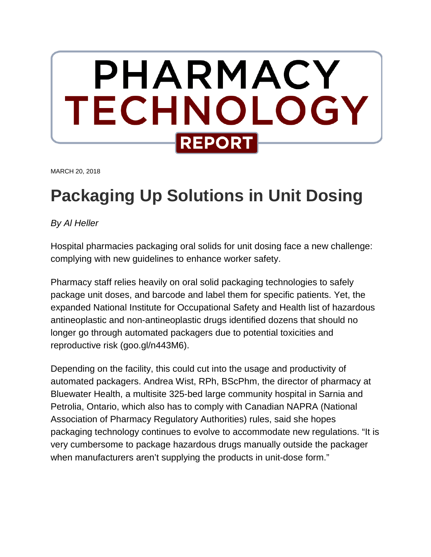

MARCH 20, 2018

# **Packaging Up Solutions in Unit Dosing**

*By Al Heller*

Hospital pharmacies packaging oral solids for unit dosing face a new challenge: complying with new guidelines to enhance worker safety.

Pharmacy staff relies heavily on oral solid packaging technologies to safely package unit doses, and barcode and label them for specific patients. Yet, the expanded National Institute for Occupational Safety and Health list of hazardous antineoplastic and non-antineoplastic drugs identified dozens that should no longer go through automated packagers due to potential toxicities and reproductive risk (goo.gl/n443M6).

Depending on the facility, this could cut into the usage and productivity of automated packagers. Andrea Wist, RPh, BScPhm, the director of pharmacy at Bluewater Health, a multisite 325-bed large community hospital in Sarnia and Petrolia, Ontario, which also has to comply with Canadian NAPRA (National Association of Pharmacy Regulatory Authorities) rules, said she hopes packaging technology continues to evolve to accommodate new regulations. "It is very cumbersome to package hazardous drugs manually outside the packager when manufacturers aren't supplying the products in unit-dose form."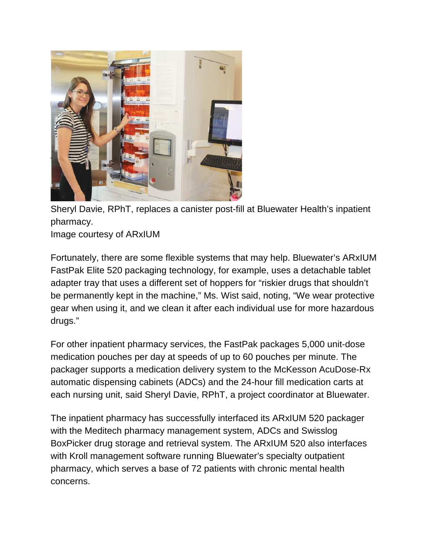

Sheryl Davie, RPhT, replaces a canister post-fill at Bluewater Health's inpatient pharmacy.

Image courtesy of ARxIUM

Fortunately, there are some flexible systems that may help. Bluewater's ARxIUM FastPak Elite 520 packaging technology, for example, uses a detachable tablet adapter tray that uses a different set of hoppers for "riskier drugs that shouldn't be permanently kept in the machine," Ms. Wist said, noting, "We wear protective gear when using it, and we clean it after each individual use for more hazardous drugs."

For other inpatient pharmacy services, the FastPak packages 5,000 unit-dose medication pouches per day at speeds of up to 60 pouches per minute. The packager supports a medication delivery system to the McKesson AcuDose-Rx automatic dispensing cabinets (ADCs) and the 24-hour fill medication carts at each nursing unit, said Sheryl Davie, RPhT, a project coordinator at Bluewater.

The inpatient pharmacy has successfully interfaced its ARxIUM 520 packager with the Meditech pharmacy management system, ADCs and Swisslog BoxPicker drug storage and retrieval system. The ARxIUM 520 also interfaces with Kroll management software running Bluewater's specialty outpatient pharmacy, which serves a base of 72 patients with chronic mental health concerns.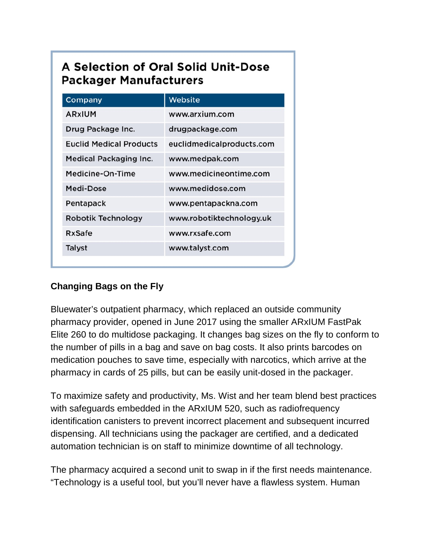# A Selection of Oral Solid Unit-Dose **Packager Manufacturers**

| Company                        | Website                   |
|--------------------------------|---------------------------|
| ARXIUM                         | www.arxium.com            |
| Drug Package Inc.              | drugpackage.com           |
| <b>Euclid Medical Products</b> | euclidmedicalproducts.com |
| <b>Medical Packaging Inc.</b>  | www.medpak.com            |
| Medicine-On-Time               | www.medicineontime.com    |
| Medi-Dose                      | www.medidose.com          |
| Pentapack                      | www.pentapackna.com       |
| Robotik Technology             | www.robotiktechnology.uk  |
| RxSafe                         | www.rxsafe.com            |
| Talyst                         | www.talyst.com            |
|                                |                           |

## **Changing Bags on the Fly**

Bluewater's outpatient pharmacy, which replaced an outside community pharmacy provider, opened in June 2017 using the smaller ARxIUM FastPak Elite 260 to do multidose packaging. It changes bag sizes on the fly to conform to the number of pills in a bag and save on bag costs. It also prints barcodes on medication pouches to save time, especially with narcotics, which arrive at the pharmacy in cards of 25 pills, but can be easily unit-dosed in the packager.

To maximize safety and productivity, Ms. Wist and her team blend best practices with safeguards embedded in the ARxIUM 520, such as radiofrequency identification canisters to prevent incorrect placement and subsequent incurred dispensing. All technicians using the packager are certified, and a dedicated automation technician is on staff to minimize downtime of all technology.

The pharmacy acquired a second unit to swap in if the first needs maintenance. "Technology is a useful tool, but you'll never have a flawless system. Human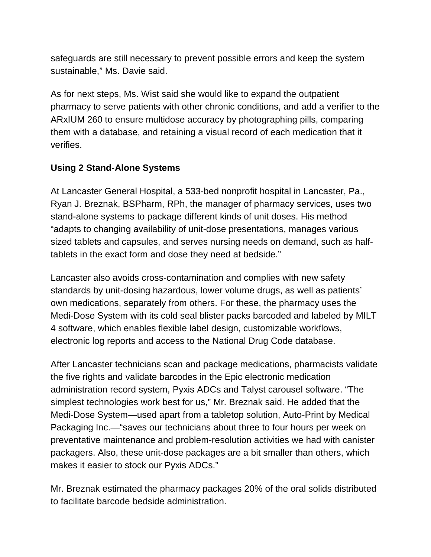safeguards are still necessary to prevent possible errors and keep the system sustainable," Ms. Davie said.

As for next steps, Ms. Wist said she would like to expand the outpatient pharmacy to serve patients with other chronic conditions, and add a verifier to the ARxIUM 260 to ensure multidose accuracy by photographing pills, comparing them with a database, and retaining a visual record of each medication that it verifies.

### **Using 2 Stand-Alone Systems**

At Lancaster General Hospital, a 533-bed nonprofit hospital in Lancaster, Pa., Ryan J. Breznak, BSPharm, RPh, the manager of pharmacy services, uses two stand-alone systems to package different kinds of unit doses. His method "adapts to changing availability of unit-dose presentations, manages various sized tablets and capsules, and serves nursing needs on demand, such as halftablets in the exact form and dose they need at bedside."

Lancaster also avoids cross-contamination and complies with new safety standards by unit-dosing hazardous, lower volume drugs, as well as patients' own medications, separately from others. For these, the pharmacy uses the Medi-Dose System with its cold seal blister packs barcoded and labeled by MILT 4 software, which enables flexible label design, customizable workflows, electronic log reports and access to the National Drug Code database.

After Lancaster technicians scan and package medications, pharmacists validate the five rights and validate barcodes in the Epic electronic medication administration record system, Pyxis ADCs and Talyst carousel software. "The simplest technologies work best for us," Mr. Breznak said. He added that the Medi-Dose System—used apart from a tabletop solution, Auto-Print by Medical Packaging Inc.—"saves our technicians about three to four hours per week on preventative maintenance and problem-resolution activities we had with canister packagers. Also, these unit-dose packages are a bit smaller than others, which makes it easier to stock our Pyxis ADCs."

Mr. Breznak estimated the pharmacy packages 20% of the oral solids distributed to facilitate barcode bedside administration.